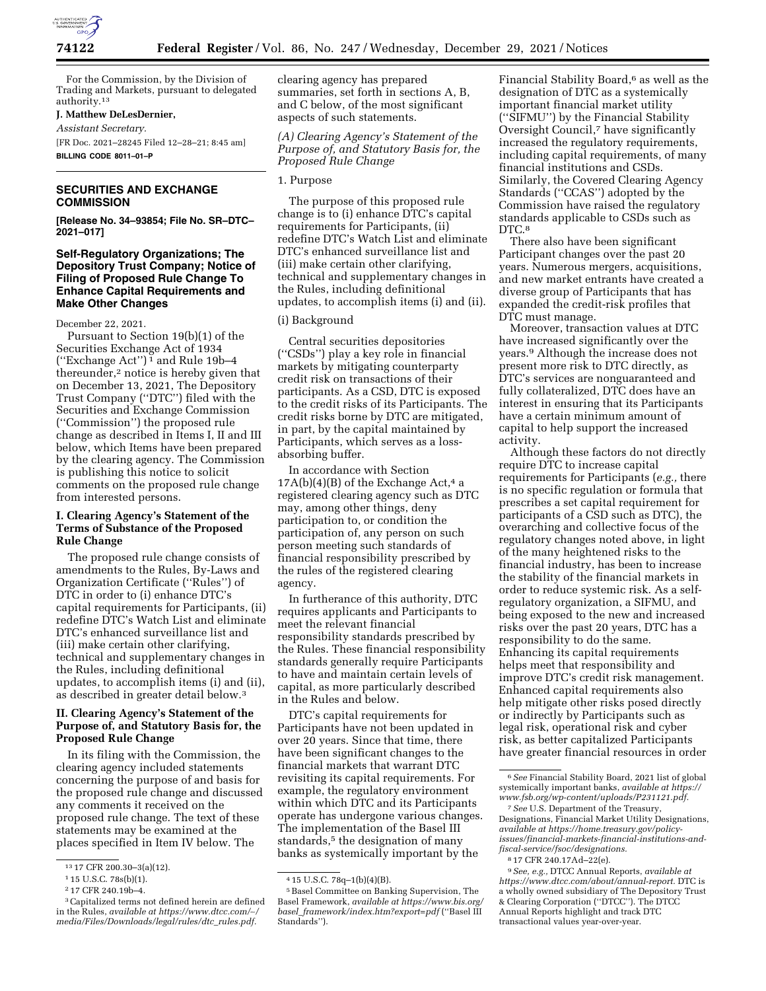

For the Commission, by the Division of Trading and Markets, pursuant to delegated authority.13

# **J. Matthew DeLesDernier,**

*Assistant Secretary.* 

[FR Doc. 2021–28245 Filed 12–28–21; 8:45 am] **BILLING CODE 8011–01–P** 

## **SECURITIES AND EXCHANGE COMMISSION**

**[Release No. 34–93854; File No. SR–DTC– 2021–017]** 

# **Self-Regulatory Organizations; The Depository Trust Company; Notice of Filing of Proposed Rule Change To Enhance Capital Requirements and Make Other Changes**

December 22, 2021.

Pursuant to Section 19(b)(1) of the Securities Exchange Act of 1934 ("Exchange Act")<sup>1</sup> and Rule 19b-4 thereunder,2 notice is hereby given that on December 13, 2021, The Depository Trust Company (''DTC'') filed with the Securities and Exchange Commission (''Commission'') the proposed rule change as described in Items I, II and III below, which Items have been prepared by the clearing agency. The Commission is publishing this notice to solicit comments on the proposed rule change from interested persons.

## **I. Clearing Agency's Statement of the Terms of Substance of the Proposed Rule Change**

The proposed rule change consists of amendments to the Rules, By-Laws and Organization Certificate (''Rules'') of DTC in order to (i) enhance DTC's capital requirements for Participants, (ii) redefine DTC's Watch List and eliminate DTC's enhanced surveillance list and (iii) make certain other clarifying, technical and supplementary changes in the Rules, including definitional updates, to accomplish items (i) and (ii), as described in greater detail below.3

## **II. Clearing Agency's Statement of the Purpose of, and Statutory Basis for, the Proposed Rule Change**

In its filing with the Commission, the clearing agency included statements concerning the purpose of and basis for the proposed rule change and discussed any comments it received on the proposed rule change. The text of these statements may be examined at the places specified in Item IV below. The

clearing agency has prepared summaries, set forth in sections A, B, and C below, of the most significant aspects of such statements.

*(A) Clearing Agency's Statement of the Purpose of, and Statutory Basis for, the Proposed Rule Change* 

## 1. Purpose

The purpose of this proposed rule change is to (i) enhance DTC's capital requirements for Participants, (ii) redefine DTC's Watch List and eliminate DTC's enhanced surveillance list and (iii) make certain other clarifying, technical and supplementary changes in the Rules, including definitional updates, to accomplish items (i) and (ii).

### (i) Background

Central securities depositories (''CSDs'') play a key role in financial markets by mitigating counterparty credit risk on transactions of their participants. As a CSD, DTC is exposed to the credit risks of its Participants. The credit risks borne by DTC are mitigated, in part, by the capital maintained by Participants, which serves as a lossabsorbing buffer.

In accordance with Section  $17A(b)(4)(B)$  of the Exchange Act,<sup>4</sup> a registered clearing agency such as DTC may, among other things, deny participation to, or condition the participation of, any person on such person meeting such standards of financial responsibility prescribed by the rules of the registered clearing agency.

In furtherance of this authority, DTC requires applicants and Participants to meet the relevant financial responsibility standards prescribed by the Rules. These financial responsibility standards generally require Participants to have and maintain certain levels of capital, as more particularly described in the Rules and below.

DTC's capital requirements for Participants have not been updated in over 20 years. Since that time, there have been significant changes to the financial markets that warrant DTC revisiting its capital requirements. For example, the regulatory environment within which DTC and its Participants operate has undergone various changes. The implementation of the Basel III standards,<sup>5</sup> the designation of many banks as systemically important by the

Financial Stability Board,<sup>6</sup> as well as the designation of DTC as a systemically important financial market utility (''SIFMU'') by the Financial Stability Oversight Council,7 have significantly increased the regulatory requirements, including capital requirements, of many financial institutions and CSDs. Similarly, the Covered Clearing Agency Standards (''CCAS'') adopted by the Commission have raised the regulatory standards applicable to CSDs such as DTC.<sup>8</sup>

There also have been significant Participant changes over the past 20 years. Numerous mergers, acquisitions, and new market entrants have created a diverse group of Participants that has expanded the credit-risk profiles that DTC must manage.

Moreover, transaction values at DTC have increased significantly over the years.9 Although the increase does not present more risk to DTC directly, as DTC's services are nonguaranteed and fully collateralized, DTC does have an interest in ensuring that its Participants have a certain minimum amount of capital to help support the increased activity.

Although these factors do not directly require DTC to increase capital requirements for Participants (*e.g.,* there is no specific regulation or formula that prescribes a set capital requirement for participants of a CSD such as DTC), the overarching and collective focus of the regulatory changes noted above, in light of the many heightened risks to the financial industry, has been to increase the stability of the financial markets in order to reduce systemic risk. As a selfregulatory organization, a SIFMU, and being exposed to the new and increased risks over the past 20 years, DTC has a responsibility to do the same. Enhancing its capital requirements helps meet that responsibility and improve DTC's credit risk management. Enhanced capital requirements also help mitigate other risks posed directly or indirectly by Participants such as legal risk, operational risk and cyber risk, as better capitalized Participants have greater financial resources in order

7*See* U.S. Department of the Treasury, Designations, Financial Market Utility Designations, *available at [https://home.treasury.gov/policy](https://home.treasury.gov/policy-issues/financial-markets-financial-institutions-and-fiscal-service/fsoc/designations)[issues/financial-markets-financial-institutions-and](https://home.treasury.gov/policy-issues/financial-markets-financial-institutions-and-fiscal-service/fsoc/designations)[fiscal-service/fsoc/designations.](https://home.treasury.gov/policy-issues/financial-markets-financial-institutions-and-fiscal-service/fsoc/designations)* 

9*See, e.g.,* DTCC Annual Reports, *available at [https://www.dtcc.com/about/annual-report.](https://www.dtcc.com/about/annual-report)* DTC is a wholly owned subsidiary of The Depository Trust & Clearing Corporation (''DTCC''). The DTCC Annual Reports highlight and track DTC transactional values year-over-year.

<sup>13</sup> 17 CFR 200.30–3(a)(12).

 $115$  U.S.C.  $78s(b)(1)$ .

<sup>2</sup> 17 CFR 240.19b–4.

<sup>3</sup>Capitalized terms not defined herein are defined in the Rules, *available at [https://www.dtcc.com/](https://www.dtcc.com/~/media/Files/Downloads/legal/rules/dtc_rules.pdf)*∼*/ [media/Files/Downloads/legal/rules/dtc](https://www.dtcc.com/~/media/Files/Downloads/legal/rules/dtc_rules.pdf)*\_*rules.pdf.* 

<sup>4</sup> 15 U.S.C. 78q–1(b)(4)(B).

<sup>5</sup>Basel Committee on Banking Supervision, The Basel Framework, *available at [https://www.bis.org/](https://www.bis.org/basel_framework/index.htm?export=pdf) basel*\_*[framework/index.htm?export=pdf](https://www.bis.org/basel_framework/index.htm?export=pdf)* (''Basel III Standards'').

<sup>6</sup>*See* Financial Stability Board, 2021 list of global systemically important banks, *available at [https://](https://www.fsb.org/wp-content/uploads/P231121.pdf) [www.fsb.org/wp-content/uploads/P231121.pdf.](https://www.fsb.org/wp-content/uploads/P231121.pdf)* 

<sup>8</sup> 17 CFR 240.17Ad–22(e).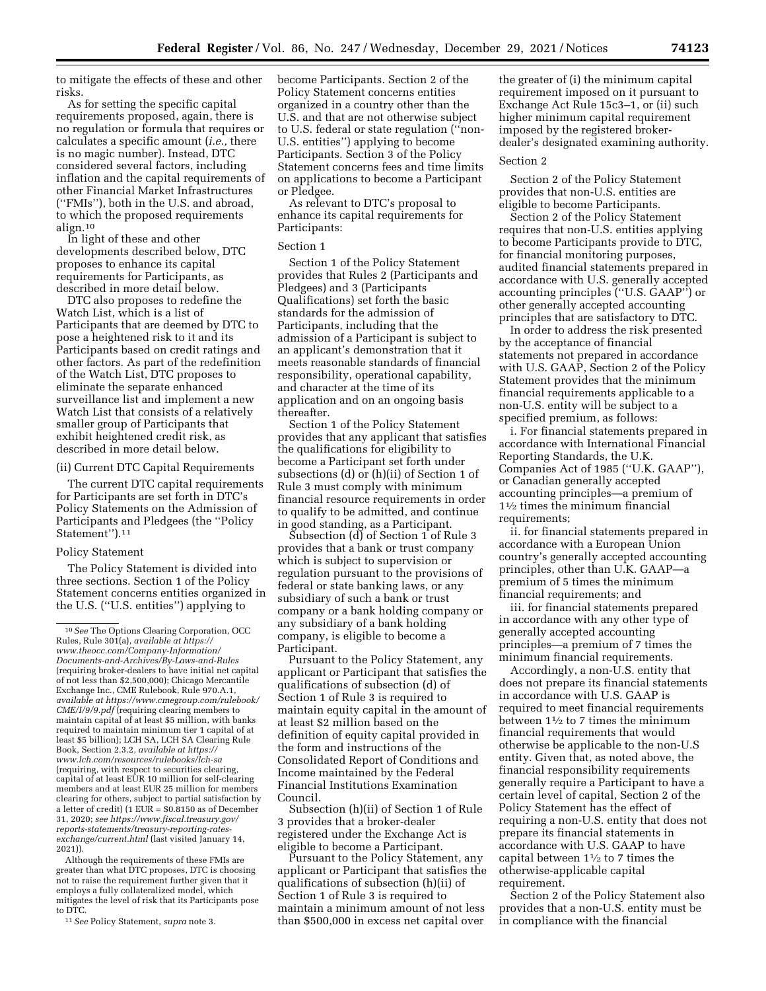to mitigate the effects of these and other risks.

As for setting the specific capital requirements proposed, again, there is no regulation or formula that requires or calculates a specific amount (*i.e.,* there is no magic number). Instead, DTC considered several factors, including inflation and the capital requirements of other Financial Market Infrastructures (''FMIs''), both in the U.S. and abroad, to which the proposed requirements align.10

In light of these and other developments described below, DTC proposes to enhance its capital requirements for Participants, as described in more detail below.

DTC also proposes to redefine the Watch List, which is a list of Participants that are deemed by DTC to pose a heightened risk to it and its Participants based on credit ratings and other factors. As part of the redefinition of the Watch List, DTC proposes to eliminate the separate enhanced surveillance list and implement a new Watch List that consists of a relatively smaller group of Participants that exhibit heightened credit risk, as described in more detail below.

## (ii) Current DTC Capital Requirements

The current DTC capital requirements for Participants are set forth in DTC's Policy Statements on the Admission of Participants and Pledgees (the ''Policy Statement'').11

### Policy Statement

The Policy Statement is divided into three sections. Section 1 of the Policy Statement concerns entities organized in the U.S. (''U.S. entities'') applying to

Although the requirements of these FMIs are greater than what DTC proposes, DTC is choosing not to raise the requirement further given that it employs a fully collateralized model, which mitigates the level of risk that its Participants pose to DTC.

11*See* Policy Statement, *supra* note 3.

become Participants. Section 2 of the Policy Statement concerns entities organized in a country other than the U.S. and that are not otherwise subject to U.S. federal or state regulation (''non-U.S. entities'') applying to become Participants. Section 3 of the Policy Statement concerns fees and time limits on applications to become a Participant or Pledgee.

As relevant to DTC's proposal to enhance its capital requirements for Participants:

## Section 1

Section 1 of the Policy Statement provides that Rules 2 (Participants and Pledgees) and 3 (Participants Qualifications) set forth the basic standards for the admission of Participants, including that the admission of a Participant is subject to an applicant's demonstration that it meets reasonable standards of financial responsibility, operational capability, and character at the time of its application and on an ongoing basis thereafter.

Section 1 of the Policy Statement provides that any applicant that satisfies the qualifications for eligibility to become a Participant set forth under subsections (d) or (h)(ii) of Section 1 of Rule 3 must comply with minimum financial resource requirements in order to qualify to be admitted, and continue in good standing, as a Participant.

Subsection (d) of Section 1 of Rule 3 provides that a bank or trust company which is subject to supervision or regulation pursuant to the provisions of federal or state banking laws, or any subsidiary of such a bank or trust company or a bank holding company or any subsidiary of a bank holding company, is eligible to become a Participant.

Pursuant to the Policy Statement, any applicant or Participant that satisfies the qualifications of subsection (d) of Section 1 of Rule 3 is required to maintain equity capital in the amount of at least \$2 million based on the definition of equity capital provided in the form and instructions of the Consolidated Report of Conditions and Income maintained by the Federal Financial Institutions Examination Council.

Subsection (h)(ii) of Section 1 of Rule 3 provides that a broker-dealer registered under the Exchange Act is eligible to become a Participant.

Pursuant to the Policy Statement, any applicant or Participant that satisfies the qualifications of subsection (h)(ii) of Section 1 of Rule 3 is required to maintain a minimum amount of not less than \$500,000 in excess net capital over

the greater of (i) the minimum capital requirement imposed on it pursuant to Exchange Act Rule 15c3–1, or (ii) such higher minimum capital requirement imposed by the registered brokerdealer's designated examining authority.

#### Section 2

Section 2 of the Policy Statement provides that non-U.S. entities are eligible to become Participants.

Section 2 of the Policy Statement requires that non-U.S. entities applying to become Participants provide to DTC, for financial monitoring purposes, audited financial statements prepared in accordance with U.S. generally accepted accounting principles (''U.S. GAAP'') or other generally accepted accounting principles that are satisfactory to DTC.

In order to address the risk presented by the acceptance of financial statements not prepared in accordance with U.S. GAAP, Section 2 of the Policy Statement provides that the minimum financial requirements applicable to a non-U.S. entity will be subject to a specified premium, as follows:

i. For financial statements prepared in accordance with International Financial Reporting Standards, the U.K. Companies Act of 1985 (''U.K. GAAP''), or Canadian generally accepted accounting principles—a premium of 11⁄2 times the minimum financial requirements:

ii. for financial statements prepared in accordance with a European Union country's generally accepted accounting principles, other than U.K. GAAP—a premium of 5 times the minimum financial requirements; and

iii. for financial statements prepared in accordance with any other type of generally accepted accounting principles—a premium of 7 times the minimum financial requirements.

Accordingly, a non-U.S. entity that does not prepare its financial statements in accordance with U.S. GAAP is required to meet financial requirements between 11⁄2 to 7 times the minimum financial requirements that would otherwise be applicable to the non-U.S entity. Given that, as noted above, the financial responsibility requirements generally require a Participant to have a certain level of capital, Section 2 of the Policy Statement has the effect of requiring a non-U.S. entity that does not prepare its financial statements in accordance with U.S. GAAP to have capital between  $1\frac{1}{2}$  to 7 times the otherwise-applicable capital requirement.

Section 2 of the Policy Statement also provides that a non-U.S. entity must be in compliance with the financial

<sup>10</sup>*See* The Options Clearing Corporation, OCC Rules, Rule 301(a), *available at [https://](https://www.theocc.com/Company-Information/Documents-and-Archives/By-Laws-and-Rules) [www.theocc.com/Company-Information/](https://www.theocc.com/Company-Information/Documents-and-Archives/By-Laws-and-Rules) [Documents-and-Archives/By-Laws-and-Rules](https://www.theocc.com/Company-Information/Documents-and-Archives/By-Laws-and-Rules)*  (requiring broker-dealers to have initial net capital of not less than \$2,500,000); Chicago Mercantile Exchange Inc., CME Rulebook, Rule 970.A.1, *available at [https://www.cmegroup.com/rulebook/](https://www.cmegroup.com/rulebook/CME/I/9/9.pdf) [CME/I/9/9.pdf](https://www.cmegroup.com/rulebook/CME/I/9/9.pdf)* (requiring clearing members to maintain capital of at least \$5 million, with banks required to maintain minimum tier 1 capital of at least \$5 billion); LCH SA, LCH SA Clearing Rule Book, Section 2.3.2, *available at [https://](https://www.lch.com/resources/rulebooks/lch-sa) [www.lch.com/resources/rulebooks/lch-sa](https://www.lch.com/resources/rulebooks/lch-sa)*  (requiring, with respect to securities clearing, capital of at least EUR 10 million for self-clearing members and at least EUR 25 million for members clearing for others, subject to partial satisfaction by a letter of credit) ( $1$  EUR =  $$0.8150$  as of December 31, 2020; *see [https://www.fiscal.treasury.gov/](https://www.fiscal.treasury.gov/reports-statements/treasury-reporting-rates-exchange/current.html)  [reports-statements/treasury-reporting-rates](https://www.fiscal.treasury.gov/reports-statements/treasury-reporting-rates-exchange/current.html)[exchange/current.html](https://www.fiscal.treasury.gov/reports-statements/treasury-reporting-rates-exchange/current.html)* (last visited January 14, 2021)).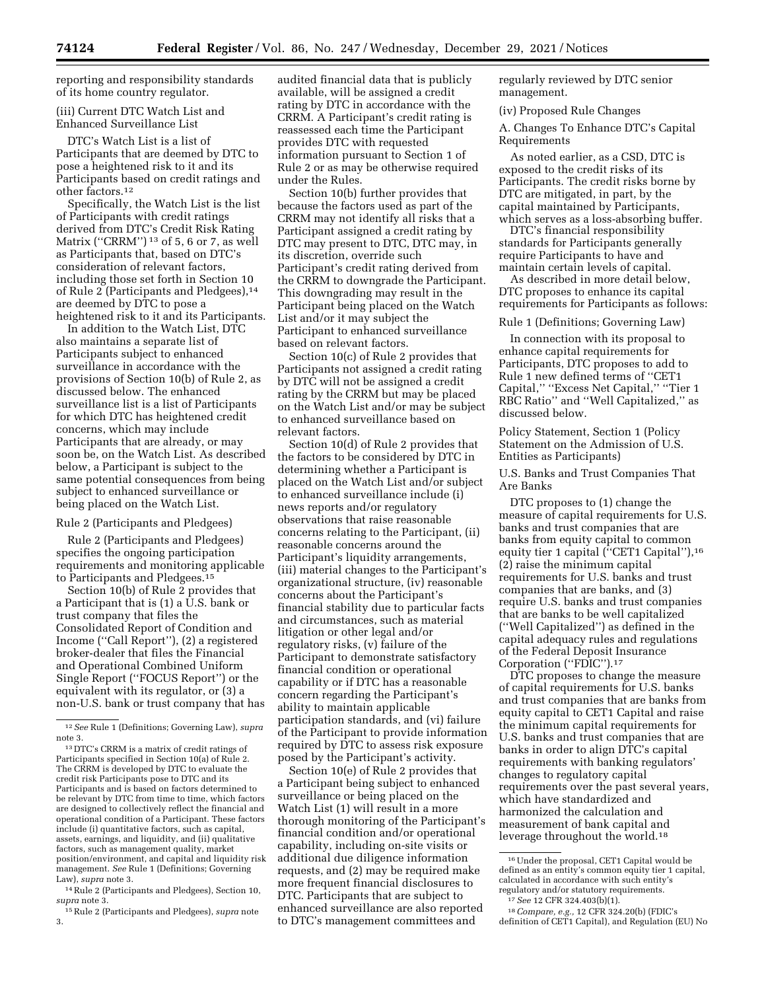reporting and responsibility standards of its home country regulator.

## (iii) Current DTC Watch List and Enhanced Surveillance List

DTC's Watch List is a list of Participants that are deemed by DTC to pose a heightened risk to it and its Participants based on credit ratings and other factors.12

Specifically, the Watch List is the list of Participants with credit ratings derived from DTC's Credit Risk Rating Matrix ("CRRM")<sup>13</sup> of 5, 6 or 7, as well as Participants that, based on DTC's consideration of relevant factors, including those set forth in Section 10 of Rule 2 (Participants and Pledgees),14 are deemed by DTC to pose a heightened risk to it and its Participants.

In addition to the Watch List, DTC also maintains a separate list of Participants subject to enhanced surveillance in accordance with the provisions of Section 10(b) of Rule 2, as discussed below. The enhanced surveillance list is a list of Participants for which DTC has heightened credit concerns, which may include Participants that are already, or may soon be, on the Watch List. As described below, a Participant is subject to the same potential consequences from being subject to enhanced surveillance or being placed on the Watch List.

### Rule 2 (Participants and Pledgees)

Rule 2 (Participants and Pledgees) specifies the ongoing participation requirements and monitoring applicable to Participants and Pledgees.15

Section 10(b) of Rule 2 provides that a Participant that is (1) a U.S. bank or trust company that files the Consolidated Report of Condition and Income (''Call Report''), (2) a registered broker-dealer that files the Financial and Operational Combined Uniform Single Report (''FOCUS Report'') or the equivalent with its regulator, or (3) a non-U.S. bank or trust company that has

14Rule 2 (Participants and Pledgees), Section 10, *supra* note 3.

15Rule 2 (Participants and Pledgees), *supra* note 3.

audited financial data that is publicly available, will be assigned a credit rating by DTC in accordance with the CRRM. A Participant's credit rating is reassessed each time the Participant provides DTC with requested information pursuant to Section 1 of Rule 2 or as may be otherwise required under the Rules.

Section 10(b) further provides that because the factors used as part of the CRRM may not identify all risks that a Participant assigned a credit rating by DTC may present to DTC, DTC may, in its discretion, override such Participant's credit rating derived from the CRRM to downgrade the Participant. This downgrading may result in the Participant being placed on the Watch List and/or it may subject the Participant to enhanced surveillance based on relevant factors.

Section 10(c) of Rule 2 provides that Participants not assigned a credit rating by DTC will not be assigned a credit rating by the CRRM but may be placed on the Watch List and/or may be subject to enhanced surveillance based on relevant factors.

Section 10(d) of Rule 2 provides that the factors to be considered by DTC in determining whether a Participant is placed on the Watch List and/or subject to enhanced surveillance include (i) news reports and/or regulatory observations that raise reasonable concerns relating to the Participant, (ii) reasonable concerns around the Participant's liquidity arrangements, (iii) material changes to the Participant's organizational structure, (iv) reasonable concerns about the Participant's financial stability due to particular facts and circumstances, such as material litigation or other legal and/or regulatory risks, (v) failure of the Participant to demonstrate satisfactory financial condition or operational capability or if DTC has a reasonable concern regarding the Participant's ability to maintain applicable participation standards, and (vi) failure of the Participant to provide information required by DTC to assess risk exposure posed by the Participant's activity.

Section 10(e) of Rule 2 provides that a Participant being subject to enhanced surveillance or being placed on the Watch List (1) will result in a more thorough monitoring of the Participant's financial condition and/or operational capability, including on-site visits or additional due diligence information requests, and (2) may be required make more frequent financial disclosures to DTC. Participants that are subject to enhanced surveillance are also reported to DTC's management committees and

regularly reviewed by DTC senior management.

(iv) Proposed Rule Changes

A. Changes To Enhance DTC's Capital Requirements

As noted earlier, as a CSD, DTC is exposed to the credit risks of its Participants. The credit risks borne by DTC are mitigated, in part, by the capital maintained by Participants, which serves as a loss-absorbing buffer.

DTC's financial responsibility standards for Participants generally require Participants to have and maintain certain levels of capital.

As described in more detail below, DTC proposes to enhance its capital requirements for Participants as follows:

## Rule 1 (Definitions; Governing Law)

In connection with its proposal to enhance capital requirements for Participants, DTC proposes to add to Rule 1 new defined terms of ''CET1 Capital,'' ''Excess Net Capital,'' ''Tier 1 RBC Ratio'' and ''Well Capitalized,'' as discussed below.

Policy Statement, Section 1 (Policy Statement on the Admission of U.S. Entities as Participants)

U.S. Banks and Trust Companies That Are Banks

DTC proposes to (1) change the measure of capital requirements for U.S. banks and trust companies that are banks from equity capital to common equity tier 1 capital ("CET1 Capital"),<sup>16</sup> (2) raise the minimum capital requirements for U.S. banks and trust companies that are banks, and (3) require U.S. banks and trust companies that are banks to be well capitalized (''Well Capitalized'') as defined in the capital adequacy rules and regulations of the Federal Deposit Insurance Corporation (''FDIC'').17

DTC proposes to change the measure of capital requirements for U.S. banks and trust companies that are banks from equity capital to CET1 Capital and raise the minimum capital requirements for U.S. banks and trust companies that are banks in order to align DTC's capital requirements with banking regulators' changes to regulatory capital requirements over the past several years, which have standardized and harmonized the calculation and measurement of bank capital and leverage throughout the world.18

<sup>12</sup>*See* Rule 1 (Definitions; Governing Law), *supra*  note 3.

<sup>13</sup> DTC's CRRM is a matrix of credit ratings of Participants specified in Section 10(a) of Rule 2. The CRRM is developed by DTC to evaluate the credit risk Participants pose to DTC and its Participants and is based on factors determined to be relevant by DTC from time to time, which factors are designed to collectively reflect the financial and operational condition of a Participant. These factors include (i) quantitative factors, such as capital, assets, earnings, and liquidity, and (ii) qualitative factors, such as management quality, market position/environment, and capital and liquidity risk management. *See* Rule 1 (Definitions; Governing Law), *supra* note 3.

<sup>16</sup>Under the proposal, CET1 Capital would be defined as an entity's common equity tier 1 capital, calculated in accordance with such entity's

regulatory and/or statutory requirements.<br><sup>17</sup> See 12 CFR 324.403(b)(1).<br><sup>18</sup> Compare, e.g., 12 CFR 324.20(b) (FDIC's definition of CET1 Capital), and Regulation (EU) No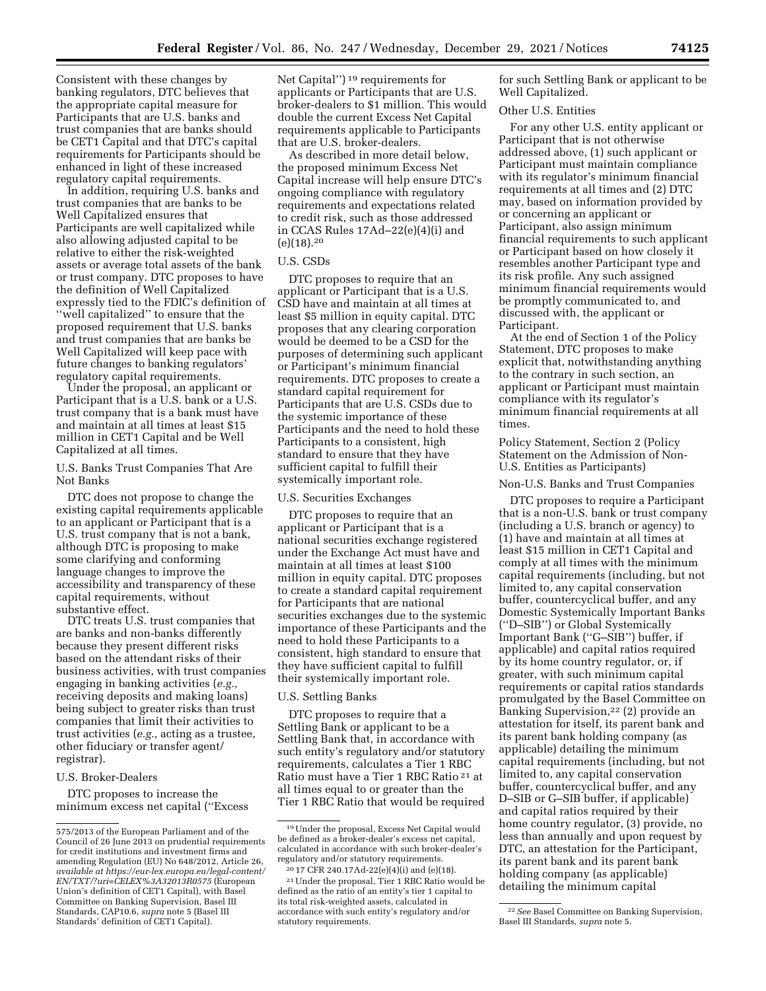Consistent with these changes by banking regulators, DTC believes that the appropriate capital measure for Participants that are U.S. banks and trust companies that are banks should be CET1 Capital and that DTC's capital requirements for Participants should be enhanced in light of these increased regulatory capital requirements.

In addition, requiring U.S. banks and trust companies that are banks to be Well Capitalized ensures that Participants are well capitalized while also allowing adjusted capital to be relative to either the risk-weighted assets or average total assets of the bank or trust company. DTC proposes to have the definition of Well Capitalized expressly tied to the FDIC's definition of ''well capitalized'' to ensure that the proposed requirement that U.S. banks and trust companies that are banks be Well Capitalized will keep pace with future changes to banking regulators' regulatory capital requirements.

Under the proposal, an applicant or Participant that is a U.S. bank or a U.S. trust company that is a bank must have and maintain at all times at least \$15 million in CET1 Capital and be Well Capitalized at all times.

U.S. Banks Trust Companies That Are Not Banks

DTC does not propose to change the existing capital requirements applicable to an applicant or Participant that is a U.S. trust company that is not a bank, although DTC is proposing to make some clarifying and conforming language changes to improve the accessibility and transparency of these capital requirements, without substantive effect.

DTC treats U.S. trust companies that are banks and non-banks differently because they present different risks based on the attendant risks of their business activities, with trust companies engaging in banking activities (*e.g.,*  receiving deposits and making loans) being subject to greater risks than trust companies that limit their activities to trust activities (*e.g.,* acting as a trustee, other fiduciary or transfer agent/ registrar).

# U.S. Broker-Dealers

DTC proposes to increase the minimum excess net capital (''Excess

Net Capital'') 19 requirements for applicants or Participants that are U.S. broker-dealers to \$1 million. This would double the current Excess Net Capital requirements applicable to Participants that are U.S. broker-dealers.

As described in more detail below, the proposed minimum Excess Net Capital increase will help ensure DTC's ongoing compliance with regulatory requirements and expectations related to credit risk, such as those addressed in CCAS Rules 17Ad–22(e)(4)(i) and  $(e)(18).^{20}$ 

## U.S. CSDs

DTC proposes to require that an applicant or Participant that is a U.S. CSD have and maintain at all times at least \$5 million in equity capital. DTC proposes that any clearing corporation would be deemed to be a CSD for the purposes of determining such applicant or Participant's minimum financial requirements. DTC proposes to create a standard capital requirement for Participants that are U.S. CSDs due to the systemic importance of these Participants and the need to hold these Participants to a consistent, high standard to ensure that they have sufficient capital to fulfill their systemically important role.

#### U.S. Securities Exchanges

DTC proposes to require that an applicant or Participant that is a national securities exchange registered under the Exchange Act must have and maintain at all times at least \$100 million in equity capital. DTC proposes to create a standard capital requirement for Participants that are national securities exchanges due to the systemic importance of these Participants and the need to hold these Participants to a consistent, high standard to ensure that they have sufficient capital to fulfill their systemically important role.

#### U.S. Settling Banks

DTC proposes to require that a Settling Bank or applicant to be a Settling Bank that, in accordance with such entity's regulatory and/or statutory requirements, calculates a Tier 1 RBC Ratio must have a Tier 1 RBC Ratio 21 at all times equal to or greater than the Tier 1 RBC Ratio that would be required for such Settling Bank or applicant to be Well Capitalized.

### Other U.S. Entities

For any other U.S. entity applicant or Participant that is not otherwise addressed above, (1) such applicant or Participant must maintain compliance with its regulator's minimum financial requirements at all times and (2) DTC may, based on information provided by or concerning an applicant or Participant, also assign minimum financial requirements to such applicant or Participant based on how closely it resembles another Participant type and its risk profile. Any such assigned minimum financial requirements would be promptly communicated to, and discussed with, the applicant or Participant.

At the end of Section 1 of the Policy Statement, DTC proposes to make explicit that, notwithstanding anything to the contrary in such section, an applicant or Participant must maintain compliance with its regulator's minimum financial requirements at all times.

Policy Statement, Section 2 (Policy Statement on the Admission of Non-U.S. Entities as Participants)

#### Non-U.S. Banks and Trust Companies

DTC proposes to require a Participant that is a non-U.S. bank or trust company (including a U.S. branch or agency) to (1) have and maintain at all times at least \$15 million in CET1 Capital and comply at all times with the minimum capital requirements (including, but not limited to, any capital conservation buffer, countercyclical buffer, and any Domestic Systemically Important Banks (''D–SIB'') or Global Systemically Important Bank (''G–SIB'') buffer, if applicable) and capital ratios required by its home country regulator, or, if greater, with such minimum capital requirements or capital ratios standards promulgated by the Basel Committee on Banking Supervision,<sup>22</sup> (2) provide an attestation for itself, its parent bank and its parent bank holding company (as applicable) detailing the minimum capital requirements (including, but not limited to, any capital conservation buffer, countercyclical buffer, and any D–SIB or G–SIB buffer, if applicable) and capital ratios required by their home country regulator, (3) provide, no less than annually and upon request by DTC, an attestation for the Participant, its parent bank and its parent bank holding company (as applicable) detailing the minimum capital

<sup>575/2013</sup> of the European Parliament and of the Council of 26 June 2013 on prudential requirements for credit institutions and investment firms and amending Regulation (EU) No 648/2012, Article 26, *available at [https://eur-lex.europa.eu/legal-content/](https://eur-lex.europa.eu/legal-content/EN/TXT/?uri=CELEX%3A32013R0575)  [EN/TXT/?uri=CELEX%3A32013R0575](https://eur-lex.europa.eu/legal-content/EN/TXT/?uri=CELEX%3A32013R0575)* (European Union's definition of CET1 Capital), with Basel Committee on Banking Supervision, Basel III Standards, CAP10.6, *supra* note 5 (Basel III Standards' definition of CET1 Capital).

<sup>19</sup>Under the proposal, Excess Net Capital would be defined as a broker-dealer's excess net capital, calculated in accordance with such broker-dealer's regulatory and/or statutory requirements.

<sup>20</sup> 17 CFR 240.17Ad-22(e)(4)(i) and (e)(18). 21Under the proposal, Tier 1 RBC Ratio would be defined as the ratio of an entity's tier 1 capital to its total risk-weighted assets, calculated in accordance with such entity's regulatory and/or statutory requirements.

<sup>22</sup>*See* Basel Committee on Banking Supervision, Basel III Standards, *supra* note 5.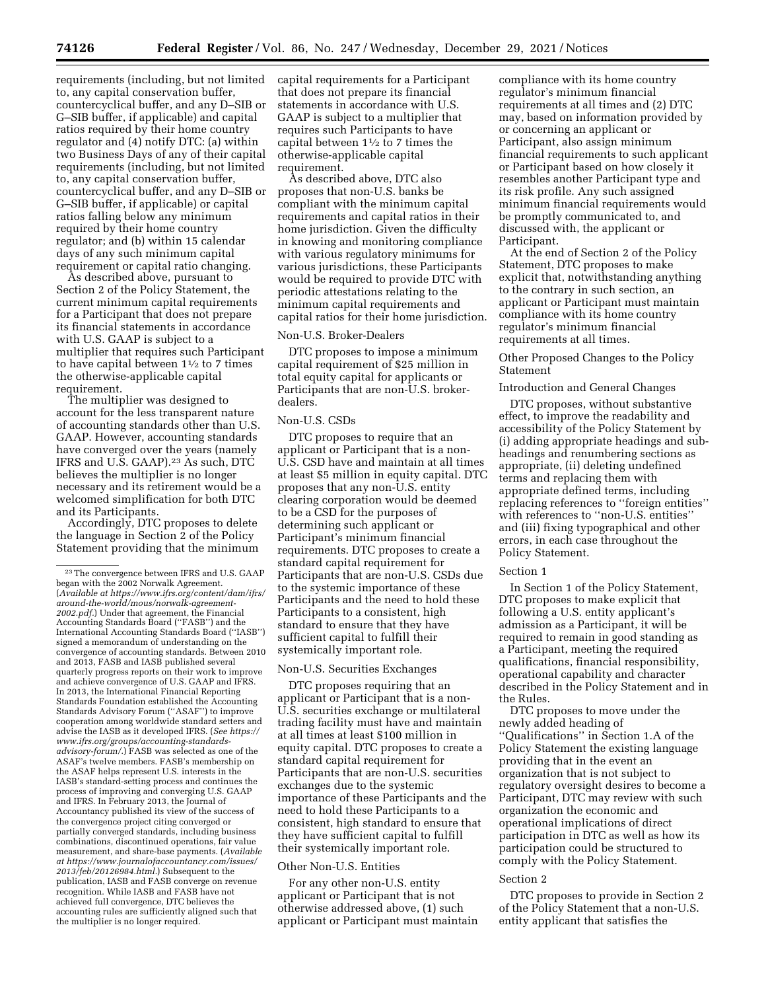requirements (including, but not limited to, any capital conservation buffer, countercyclical buffer, and any D–SIB or G–SIB buffer, if applicable) and capital ratios required by their home country regulator and (4) notify DTC: (a) within two Business Days of any of their capital requirements (including, but not limited to, any capital conservation buffer, countercyclical buffer, and any D–SIB or G–SIB buffer, if applicable) or capital ratios falling below any minimum required by their home country regulator; and (b) within 15 calendar days of any such minimum capital requirement or capital ratio changing.

As described above, pursuant to Section 2 of the Policy Statement, the current minimum capital requirements for a Participant that does not prepare its financial statements in accordance with U.S. GAAP is subject to a multiplier that requires such Participant to have capital between  $1\frac{1}{2}$  to 7 times the otherwise-applicable capital requirement.

The multiplier was designed to account for the less transparent nature of accounting standards other than U.S. GAAP. However, accounting standards have converged over the years (namely IFRS and U.S. GAAP).23 As such, DTC believes the multiplier is no longer necessary and its retirement would be a welcomed simplification for both DTC and its Participants.

Accordingly, DTC proposes to delete the language in Section 2 of the Policy Statement providing that the minimum capital requirements for a Participant that does not prepare its financial statements in accordance with U.S. GAAP is subject to a multiplier that requires such Participants to have capital between  $1\frac{1}{2}$  to 7 times the otherwise-applicable capital requirement.

As described above, DTC also proposes that non-U.S. banks be compliant with the minimum capital requirements and capital ratios in their home jurisdiction. Given the difficulty in knowing and monitoring compliance with various regulatory minimums for various jurisdictions, these Participants would be required to provide DTC with periodic attestations relating to the minimum capital requirements and capital ratios for their home jurisdiction.

## Non-U.S. Broker-Dealers

DTC proposes to impose a minimum capital requirement of \$25 million in total equity capital for applicants or Participants that are non-U.S. brokerdealers.

## Non-U.S. CSDs

DTC proposes to require that an applicant or Participant that is a non-U.S. CSD have and maintain at all times at least \$5 million in equity capital. DTC proposes that any non-U.S. entity clearing corporation would be deemed to be a CSD for the purposes of determining such applicant or Participant's minimum financial requirements. DTC proposes to create a standard capital requirement for Participants that are non-U.S. CSDs due to the systemic importance of these Participants and the need to hold these Participants to a consistent, high standard to ensure that they have sufficient capital to fulfill their systemically important role.

#### Non-U.S. Securities Exchanges

DTC proposes requiring that an applicant or Participant that is a non-U.S. securities exchange or multilateral trading facility must have and maintain at all times at least \$100 million in equity capital. DTC proposes to create a standard capital requirement for Participants that are non-U.S. securities exchanges due to the systemic importance of these Participants and the need to hold these Participants to a consistent, high standard to ensure that they have sufficient capital to fulfill their systemically important role.

## Other Non-U.S. Entities

For any other non-U.S. entity applicant or Participant that is not otherwise addressed above, (1) such applicant or Participant must maintain

compliance with its home country regulator's minimum financial requirements at all times and (2) DTC may, based on information provided by or concerning an applicant or Participant, also assign minimum financial requirements to such applicant or Participant based on how closely it resembles another Participant type and its risk profile. Any such assigned minimum financial requirements would be promptly communicated to, and discussed with, the applicant or Participant.

At the end of Section 2 of the Policy Statement, DTC proposes to make explicit that, notwithstanding anything to the contrary in such section, an applicant or Participant must maintain compliance with its home country regulator's minimum financial requirements at all times.

Other Proposed Changes to the Policy Statement

#### Introduction and General Changes

DTC proposes, without substantive effect, to improve the readability and accessibility of the Policy Statement by (i) adding appropriate headings and subheadings and renumbering sections as appropriate, (ii) deleting undefined terms and replacing them with appropriate defined terms, including replacing references to ''foreign entities'' with references to ''non-U.S. entities'' and (iii) fixing typographical and other errors, in each case throughout the Policy Statement.

## Section 1

In Section 1 of the Policy Statement, DTC proposes to make explicit that following a U.S. entity applicant's admission as a Participant, it will be required to remain in good standing as a Participant, meeting the required qualifications, financial responsibility, operational capability and character described in the Policy Statement and in the Rules.

DTC proposes to move under the newly added heading of ''Qualifications'' in Section 1.A of the Policy Statement the existing language providing that in the event an organization that is not subject to regulatory oversight desires to become a Participant, DTC may review with such organization the economic and operational implications of direct participation in DTC as well as how its participation could be structured to comply with the Policy Statement.

#### Section 2

DTC proposes to provide in Section 2 of the Policy Statement that a non-U.S. entity applicant that satisfies the

<sup>23</sup>The convergence between IFRS and U.S. GAAP began with the 2002 Norwalk Agreement. (*Available at [https://www.ifrs.org/content/dam/ifrs/](https://www.ifrs.org/content/dam/ifrs/around-the-world/mous/norwalk-agreement-2002.pdf)  [around-the-world/mous/norwalk-agreement-](https://www.ifrs.org/content/dam/ifrs/around-the-world/mous/norwalk-agreement-2002.pdf)[2002.pdf.](https://www.ifrs.org/content/dam/ifrs/around-the-world/mous/norwalk-agreement-2002.pdf)*) Under that agreement, the Financial Accounting Standards Board (''FASB'') and the International Accounting Standards Board (''IASB'') signed a memorandum of understanding on the convergence of accounting standards. Between 2010 and 2013, FASB and IASB published several quarterly progress reports on their work to improve and achieve convergence of U.S. GAAP and IFRS. In 2013, the International Financial Reporting Standards Foundation established the Accounting Standards Advisory Forum (''ASAF'') to improve cooperation among worldwide standard setters and advise the IASB as it developed IFRS. (*See [https://](https://www.ifrs.org/groups/accounting-standards-advisory-forum/) [www.ifrs.org/groups/accounting-standards](https://www.ifrs.org/groups/accounting-standards-advisory-forum/)[advisory-forum/.](https://www.ifrs.org/groups/accounting-standards-advisory-forum/)*) FASB was selected as one of the ASAF's twelve members. FASB's membership on the ASAF helps represent U.S. interests in the IASB's standard-setting process and continues the process of improving and converging U.S. GAAP and IFRS. In February 2013, the Journal of Accountancy published its view of the success of the convergence project citing converged or partially converged standards, including business combinations, discontinued operations, fair value measurement, and share-base payments. (*Available at [https://www.journalofaccountancy.com/issues/](https://www.journalofaccountancy.com/issues/2013/feb/20126984.html)  [2013/feb/20126984.html.](https://www.journalofaccountancy.com/issues/2013/feb/20126984.html)*) Subsequent to the publication, IASB and FASB converge on revenue recognition. While IASB and FASB have not achieved full convergence, DTC believes the accounting rules are sufficiently aligned such that the multiplier is no longer required.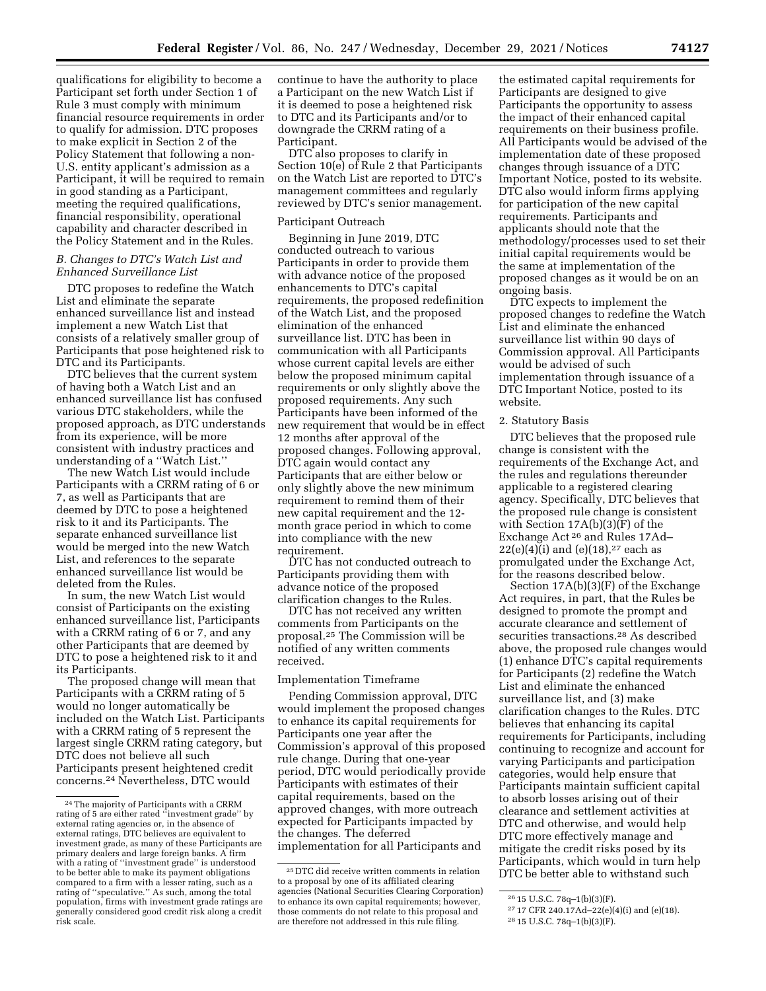qualifications for eligibility to become a Participant set forth under Section 1 of Rule 3 must comply with minimum financial resource requirements in order to qualify for admission. DTC proposes to make explicit in Section 2 of the Policy Statement that following a non-U.S. entity applicant's admission as a Participant, it will be required to remain in good standing as a Participant, meeting the required qualifications, financial responsibility, operational capability and character described in the Policy Statement and in the Rules.

# *B. Changes to DTC's Watch List and Enhanced Surveillance List*

DTC proposes to redefine the Watch List and eliminate the separate enhanced surveillance list and instead implement a new Watch List that consists of a relatively smaller group of Participants that pose heightened risk to DTC and its Participants.

DTC believes that the current system of having both a Watch List and an enhanced surveillance list has confused various DTC stakeholders, while the proposed approach, as DTC understands from its experience, will be more consistent with industry practices and understanding of a ''Watch List.''

The new Watch List would include Participants with a CRRM rating of 6 or 7, as well as Participants that are deemed by DTC to pose a heightened risk to it and its Participants. The separate enhanced surveillance list would be merged into the new Watch List, and references to the separate enhanced surveillance list would be deleted from the Rules.

In sum, the new Watch List would consist of Participants on the existing enhanced surveillance list, Participants with a CRRM rating of 6 or 7, and any other Participants that are deemed by DTC to pose a heightened risk to it and its Participants.

The proposed change will mean that Participants with a CRRM rating of 5 would no longer automatically be included on the Watch List. Participants with a CRRM rating of 5 represent the largest single CRRM rating category, but DTC does not believe all such Participants present heightened credit concerns.24 Nevertheless, DTC would

continue to have the authority to place a Participant on the new Watch List if it is deemed to pose a heightened risk to DTC and its Participants and/or to downgrade the CRRM rating of a Participant.

DTC also proposes to clarify in Section 10(e) of Rule 2 that Participants on the Watch List are reported to DTC's management committees and regularly reviewed by DTC's senior management.

# Participant Outreach

Beginning in June 2019, DTC conducted outreach to various Participants in order to provide them with advance notice of the proposed enhancements to DTC's capital requirements, the proposed redefinition of the Watch List, and the proposed elimination of the enhanced surveillance list. DTC has been in communication with all Participants whose current capital levels are either below the proposed minimum capital requirements or only slightly above the proposed requirements. Any such Participants have been informed of the new requirement that would be in effect 12 months after approval of the proposed changes. Following approval, DTC again would contact any Participants that are either below or only slightly above the new minimum requirement to remind them of their new capital requirement and the 12 month grace period in which to come into compliance with the new requirement.

DTC has not conducted outreach to Participants providing them with advance notice of the proposed clarification changes to the Rules.

DTC has not received any written comments from Participants on the proposal.25 The Commission will be notified of any written comments received.

## Implementation Timeframe

Pending Commission approval, DTC would implement the proposed changes to enhance its capital requirements for Participants one year after the Commission's approval of this proposed rule change. During that one-year period, DTC would periodically provide Participants with estimates of their capital requirements, based on the approved changes, with more outreach expected for Participants impacted by the changes. The deferred implementation for all Participants and

the estimated capital requirements for Participants are designed to give Participants the opportunity to assess the impact of their enhanced capital requirements on their business profile. All Participants would be advised of the implementation date of these proposed changes through issuance of a DTC Important Notice, posted to its website. DTC also would inform firms applying for participation of the new capital requirements. Participants and applicants should note that the methodology/processes used to set their initial capital requirements would be the same at implementation of the proposed changes as it would be on an ongoing basis.

DTC expects to implement the proposed changes to redefine the Watch List and eliminate the enhanced surveillance list within 90 days of Commission approval. All Participants would be advised of such implementation through issuance of a DTC Important Notice, posted to its website.

## 2. Statutory Basis

DTC believes that the proposed rule change is consistent with the requirements of the Exchange Act, and the rules and regulations thereunder applicable to a registered clearing agency. Specifically, DTC believes that the proposed rule change is consistent with Section 17A(b)(3)(F) of the Exchange Act 26 and Rules 17Ad–  $22(e)(4)(i)$  and  $(e)(18),^{27}$  each as promulgated under the Exchange Act, for the reasons described below.

Section 17A(b)(3)(F) of the Exchange Act requires, in part, that the Rules be designed to promote the prompt and accurate clearance and settlement of securities transactions.28 As described above, the proposed rule changes would (1) enhance DTC's capital requirements for Participants (2) redefine the Watch List and eliminate the enhanced surveillance list, and (3) make clarification changes to the Rules. DTC believes that enhancing its capital requirements for Participants, including continuing to recognize and account for varying Participants and participation categories, would help ensure that Participants maintain sufficient capital to absorb losses arising out of their clearance and settlement activities at DTC and otherwise, and would help DTC more effectively manage and mitigate the credit risks posed by its Participants, which would in turn help DTC be better able to withstand such

<sup>24</sup>The majority of Participants with a CRRM rating of 5 are either rated ''investment grade'' by external rating agencies or, in the absence of external ratings, DTC believes are equivalent to investment grade, as many of these Participants are primary dealers and large foreign banks. A firm with a rating of ''investment grade'' is understood to be better able to make its payment obligations compared to a firm with a lesser rating, such as a rating of ''speculative.'' As such, among the total population, firms with investment grade ratings are generally considered good credit risk along a credit risk scale.

<sup>25</sup> DTC did receive written comments in relation to a proposal by one of its affiliated clearing agencies (National Securities Clearing Corporation) to enhance its own capital requirements; however, those comments do not relate to this proposal and are therefore not addressed in this rule filing.

<sup>26</sup> 15 U.S.C. 78q–1(b)(3)(F).

<sup>27</sup> 17 CFR 240.17Ad–22(e)(4)(i) and (e)(18).

<sup>28</sup> 15 U.S.C. 78q–1(b)(3)(F).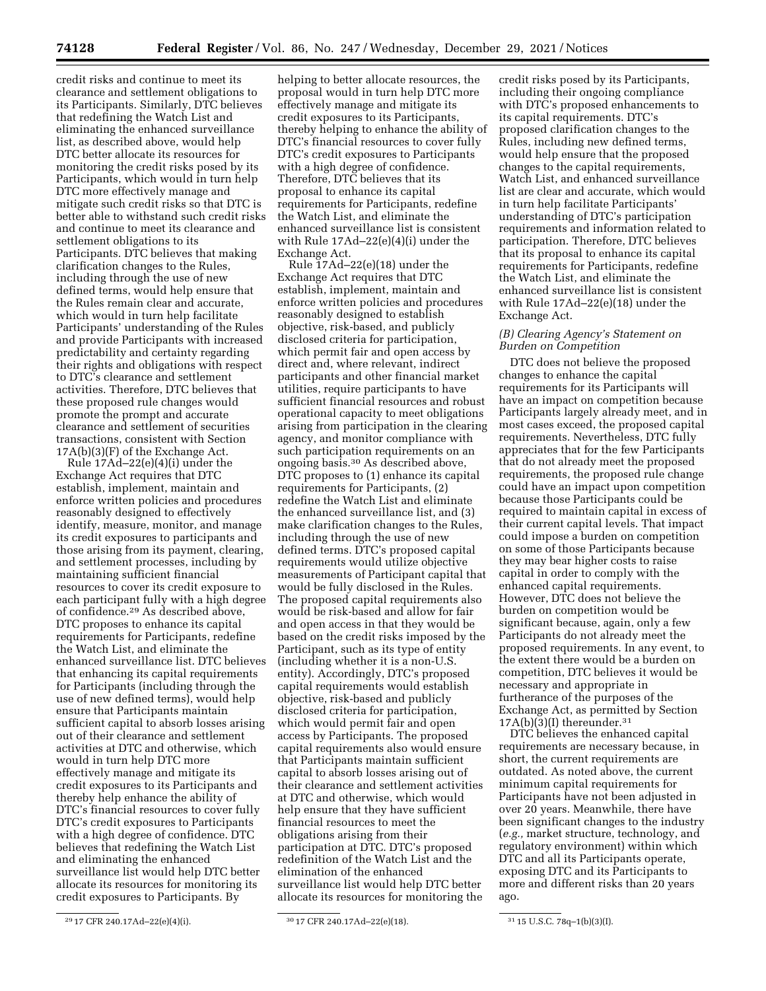credit risks and continue to meet its clearance and settlement obligations to its Participants. Similarly, DTC believes that redefining the Watch List and eliminating the enhanced surveillance list, as described above, would help DTC better allocate its resources for monitoring the credit risks posed by its Participants, which would in turn help DTC more effectively manage and mitigate such credit risks so that DTC is better able to withstand such credit risks and continue to meet its clearance and settlement obligations to its Participants. DTC believes that making clarification changes to the Rules, including through the use of new defined terms, would help ensure that the Rules remain clear and accurate, which would in turn help facilitate Participants' understanding of the Rules and provide Participants with increased predictability and certainty regarding their rights and obligations with respect to DTC's clearance and settlement activities. Therefore, DTC believes that these proposed rule changes would promote the prompt and accurate clearance and settlement of securities transactions, consistent with Section 17A(b)(3)(F) of the Exchange Act.

Rule 17Ad–22(e)(4)(i) under the Exchange Act requires that DTC establish, implement, maintain and enforce written policies and procedures reasonably designed to effectively identify, measure, monitor, and manage its credit exposures to participants and those arising from its payment, clearing, and settlement processes, including by maintaining sufficient financial resources to cover its credit exposure to each participant fully with a high degree of confidence.29 As described above, DTC proposes to enhance its capital requirements for Participants, redefine the Watch List, and eliminate the enhanced surveillance list. DTC believes that enhancing its capital requirements for Participants (including through the use of new defined terms), would help ensure that Participants maintain sufficient capital to absorb losses arising out of their clearance and settlement activities at DTC and otherwise, which would in turn help DTC more effectively manage and mitigate its credit exposures to its Participants and thereby help enhance the ability of DTC's financial resources to cover fully DTC's credit exposures to Participants with a high degree of confidence. DTC believes that redefining the Watch List and eliminating the enhanced surveillance list would help DTC better allocate its resources for monitoring its credit exposures to Participants. By

helping to better allocate resources, the proposal would in turn help DTC more effectively manage and mitigate its credit exposures to its Participants, thereby helping to enhance the ability of DTC's financial resources to cover fully DTC's credit exposures to Participants with a high degree of confidence. Therefore, DTC believes that its proposal to enhance its capital requirements for Participants, redefine the Watch List, and eliminate the enhanced surveillance list is consistent with Rule 17Ad–22(e)(4)(i) under the Exchange Act.

Rule 17Ad–22(e)(18) under the Exchange Act requires that DTC establish, implement, maintain and enforce written policies and procedures reasonably designed to establish objective, risk-based, and publicly disclosed criteria for participation, which permit fair and open access by direct and, where relevant, indirect participants and other financial market utilities, require participants to have sufficient financial resources and robust operational capacity to meet obligations arising from participation in the clearing agency, and monitor compliance with such participation requirements on an ongoing basis.30 As described above, DTC proposes to (1) enhance its capital requirements for Participants, (2) redefine the Watch List and eliminate the enhanced surveillance list, and (3) make clarification changes to the Rules, including through the use of new defined terms. DTC's proposed capital requirements would utilize objective measurements of Participant capital that would be fully disclosed in the Rules. The proposed capital requirements also would be risk-based and allow for fair and open access in that they would be based on the credit risks imposed by the Participant, such as its type of entity (including whether it is a non-U.S. entity). Accordingly, DTC's proposed capital requirements would establish objective, risk-based and publicly disclosed criteria for participation, which would permit fair and open access by Participants. The proposed capital requirements also would ensure that Participants maintain sufficient capital to absorb losses arising out of their clearance and settlement activities at DTC and otherwise, which would help ensure that they have sufficient financial resources to meet the obligations arising from their participation at DTC. DTC's proposed redefinition of the Watch List and the elimination of the enhanced surveillance list would help DTC better allocate its resources for monitoring the

credit risks posed by its Participants, including their ongoing compliance with DTC's proposed enhancements to its capital requirements. DTC's proposed clarification changes to the Rules, including new defined terms, would help ensure that the proposed changes to the capital requirements, Watch List, and enhanced surveillance list are clear and accurate, which would in turn help facilitate Participants' understanding of DTC's participation requirements and information related to participation. Therefore, DTC believes that its proposal to enhance its capital requirements for Participants, redefine the Watch List, and eliminate the enhanced surveillance list is consistent with Rule 17Ad–22(e)(18) under the Exchange Act.

### *(B) Clearing Agency's Statement on Burden on Competition*

DTC does not believe the proposed changes to enhance the capital requirements for its Participants will have an impact on competition because Participants largely already meet, and in most cases exceed, the proposed capital requirements. Nevertheless, DTC fully appreciates that for the few Participants that do not already meet the proposed requirements, the proposed rule change could have an impact upon competition because those Participants could be required to maintain capital in excess of their current capital levels. That impact could impose a burden on competition on some of those Participants because they may bear higher costs to raise capital in order to comply with the enhanced capital requirements. However, DTC does not believe the burden on competition would be significant because, again, only a few Participants do not already meet the proposed requirements. In any event, to the extent there would be a burden on competition, DTC believes it would be necessary and appropriate in furtherance of the purposes of the Exchange Act, as permitted by Section  $17A(b)(3)(I)$  thereunder.<sup>31</sup>

DTC believes the enhanced capital requirements are necessary because, in short, the current requirements are outdated. As noted above, the current minimum capital requirements for Participants have not been adjusted in over 20 years. Meanwhile, there have been significant changes to the industry (*e.g.,* market structure, technology, and regulatory environment) within which DTC and all its Participants operate, exposing DTC and its Participants to more and different risks than 20 years ago.

<sup>29</sup> 17 CFR 240.17Ad–22(e)(4)(i). 30 17 CFR 240.17Ad–22(e)(18). 31 15 U.S.C. 78q–1(b)(3)(I).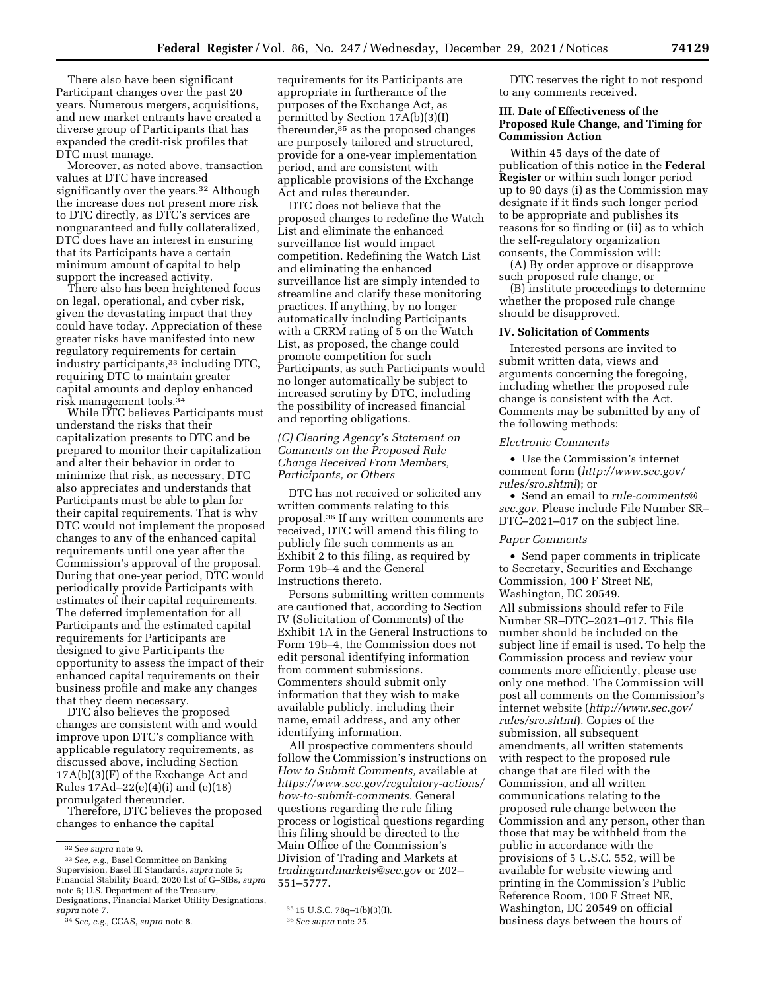There also have been significant Participant changes over the past 20 years. Numerous mergers, acquisitions, and new market entrants have created a diverse group of Participants that has expanded the credit-risk profiles that DTC must manage.

Moreover, as noted above, transaction values at DTC have increased significantly over the years.<sup>32</sup> Although the increase does not present more risk to DTC directly, as DTC's services are nonguaranteed and fully collateralized, DTC does have an interest in ensuring that its Participants have a certain minimum amount of capital to help support the increased activity.

There also has been heightened focus on legal, operational, and cyber risk, given the devastating impact that they could have today. Appreciation of these greater risks have manifested into new regulatory requirements for certain industry participants,33 including DTC, requiring DTC to maintain greater capital amounts and deploy enhanced risk management tools.34

While DTC believes Participants must understand the risks that their capitalization presents to DTC and be prepared to monitor their capitalization and alter their behavior in order to minimize that risk, as necessary, DTC also appreciates and understands that Participants must be able to plan for their capital requirements. That is why DTC would not implement the proposed changes to any of the enhanced capital requirements until one year after the Commission's approval of the proposal. During that one-year period, DTC would periodically provide Participants with estimates of their capital requirements. The deferred implementation for all Participants and the estimated capital requirements for Participants are designed to give Participants the opportunity to assess the impact of their enhanced capital requirements on their business profile and make any changes that they deem necessary.

DTC also believes the proposed changes are consistent with and would improve upon DTC's compliance with applicable regulatory requirements, as discussed above, including Section 17A(b)(3)(F) of the Exchange Act and Rules 17Ad–22(e)(4)(i) and (e)(18) promulgated thereunder.

Therefore, DTC believes the proposed changes to enhance the capital

requirements for its Participants are appropriate in furtherance of the purposes of the Exchange Act, as permitted by Section 17A(b)(3)(I) thereunder,<sup>35</sup> as the proposed changes are purposely tailored and structured, provide for a one-year implementation period, and are consistent with applicable provisions of the Exchange Act and rules thereunder.

DTC does not believe that the proposed changes to redefine the Watch List and eliminate the enhanced surveillance list would impact competition. Redefining the Watch List and eliminating the enhanced surveillance list are simply intended to streamline and clarify these monitoring practices. If anything, by no longer automatically including Participants with a CRRM rating of 5 on the Watch List, as proposed, the change could promote competition for such Participants, as such Participants would no longer automatically be subject to increased scrutiny by DTC, including the possibility of increased financial and reporting obligations.

# *(C) Clearing Agency's Statement on Comments on the Proposed Rule Change Received From Members, Participants, or Others*

DTC has not received or solicited any written comments relating to this proposal.36 If any written comments are received, DTC will amend this filing to publicly file such comments as an Exhibit 2 to this filing, as required by Form 19b–4 and the General Instructions thereto.

Persons submitting written comments are cautioned that, according to Section IV (Solicitation of Comments) of the Exhibit 1A in the General Instructions to Form 19b–4, the Commission does not edit personal identifying information from comment submissions. Commenters should submit only information that they wish to make available publicly, including their name, email address, and any other identifying information.

All prospective commenters should follow the Commission's instructions on *How to Submit Comments,* available at *[https://www.sec.gov/regulatory-actions/](https://www.sec.gov/regulatory-actions/how-to-submit-comments) [how-to-submit-comments.](https://www.sec.gov/regulatory-actions/how-to-submit-comments)* General questions regarding the rule filing process or logistical questions regarding this filing should be directed to the Main Office of the Commission's Division of Trading and Markets at *[tradingandmarkets@sec.gov](mailto:tradingandmarkets@sec.gov)* or 202– 551–5777.

DTC reserves the right to not respond to any comments received.

## **III. Date of Effectiveness of the Proposed Rule Change, and Timing for Commission Action**

Within 45 days of the date of publication of this notice in the **Federal Register** or within such longer period up to 90 days (i) as the Commission may designate if it finds such longer period to be appropriate and publishes its reasons for so finding or (ii) as to which the self-regulatory organization consents, the Commission will:

(A) By order approve or disapprove such proposed rule change, or

(B) institute proceedings to determine whether the proposed rule change should be disapproved.

#### **IV. Solicitation of Comments**

Interested persons are invited to submit written data, views and arguments concerning the foregoing, including whether the proposed rule change is consistent with the Act. Comments may be submitted by any of the following methods:

#### *Electronic Comments*

• Use the Commission's internet comment form (*[http://www.sec.gov/](http://www.sec.gov/rules/sro.shtml)  [rules/sro.shtml](http://www.sec.gov/rules/sro.shtml)*); or

• Send an email to *[rule-comments@](mailto:rule-comments@sec.gov) [sec.gov.](mailto:rule-comments@sec.gov)* Please include File Number SR– DTC–2021–017 on the subject line.

#### *Paper Comments*

• Send paper comments in triplicate to Secretary, Securities and Exchange Commission, 100 F Street NE, Washington, DC 20549.

All submissions should refer to File Number SR–DTC–2021–017. This file number should be included on the subject line if email is used. To help the Commission process and review your comments more efficiently, please use only one method. The Commission will post all comments on the Commission's internet website (*[http://www.sec.gov/](http://www.sec.gov/rules/sro.shtml)  [rules/sro.shtml](http://www.sec.gov/rules/sro.shtml)*). Copies of the submission, all subsequent amendments, all written statements with respect to the proposed rule change that are filed with the Commission, and all written communications relating to the proposed rule change between the Commission and any person, other than those that may be withheld from the public in accordance with the provisions of 5 U.S.C. 552, will be available for website viewing and printing in the Commission's Public Reference Room, 100 F Street NE, Washington, DC 20549 on official business days between the hours of

<sup>32</sup>*See supra* note 9.

<sup>33</sup>*See, e.g.,* Basel Committee on Banking Supervision, Basel III Standards, *supra* note 5; Financial Stability Board, 2020 list of G–SIBs, *supra*  note 6; U.S. Department of the Treasury, Designations, Financial Market Utility Designations, *supra* note 7.

<sup>34</sup>*See, e.g.,* CCAS, *supra* note 8.

 $3515$  U.S.C. 78q-1(b)(3)(I).

<sup>36</sup>*See supra* note 25.